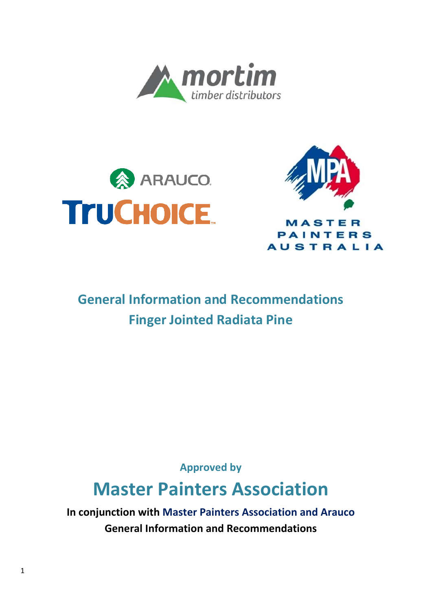





**AUSTRALIA** 

## **General Information and Recommendations Finger Jointed Radiata Pine**

**Approved by**

# **Master Painters Association**

**In conjunction with Master Painters Association and Arauco General Information and Recommendations**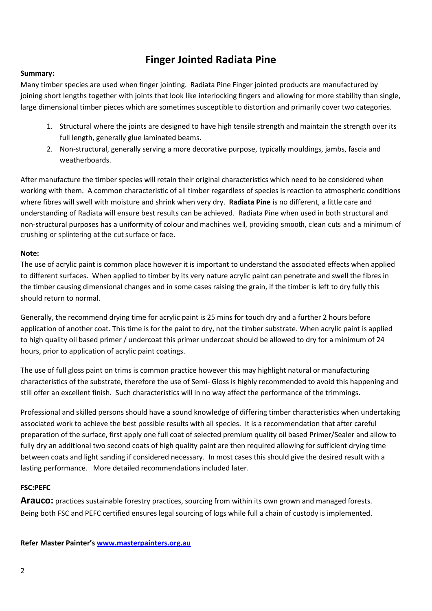### **Finger Jointed Radiata Pine**

#### **Summary:**

Many timber species are used when finger jointing. Radiata Pine Finger jointed products are manufactured by joining short lengths together with joints that look like interlocking fingers and allowing for more stability than single, large dimensional timber pieces which are sometimes susceptible to distortion and primarily cover two categories.

- 1. Structural where the joints are designed to have high tensile strength and maintain the strength over its full length, generally glue laminated beams.
- 2. Non-structural, generally serving a more decorative purpose, typically mouldings, jambs, fascia and weatherboards.

After manufacture the timber species will retain their original characteristics which need to be considered when working with them. A common characteristic of all timber regardless of species is reaction to atmospheric conditions where fibres will swell with moisture and shrink when very dry. **Radiata Pine** is no different, a little care and understanding of Radiata will ensure best results can be achieved. Radiata Pine when used in both structural and non-structural purposes has a uniformity of colour and machines well, providing smooth, clean cuts and a minimum of crushing or splintering at the cut surface or face.

#### **Note:**

The use of acrylic paint is common place however it is important to understand the associated effects when applied to different surfaces. When applied to timber by its very nature acrylic paint can penetrate and swell the fibres in the timber causing dimensional changes and in some cases raising the grain, if the timber is left to dry fully this should return to normal.

Generally, the recommend drying time for acrylic paint is 25 mins for touch dry and a further 2 hours before application of another coat. This time is for the paint to dry, not the timber substrate. When acrylic paint is applied to high quality oil based primer / undercoat this primer undercoat should be allowed to dry for a minimum of 24 hours, prior to application of acrylic paint coatings.

The use of full gloss paint on trims is common practice however this may highlight natural or manufacturing characteristics of the substrate, therefore the use of Semi- Gloss is highly recommended to avoid this happening and still offer an excellent finish. Such characteristics will in no way affect the performance of the trimmings.

Professional and skilled persons should have a sound knowledge of differing timber characteristics when undertaking associated work to achieve the best possible results with all species. It is a recommendation that after careful preparation of the surface, first apply one full coat of selected premium quality oil based Primer/Sealer and allow to fully dry an additional two second coats of high quality paint are then required allowing for sufficient drving time between coats and light sanding if considered necessary. In most cases this should give the desired result with a lasting performance. More detailed recommendations included later.

#### **FSC:PEFC**

**Arauco:** practices sustainable forestry practices, sourcing from within its own grown and managed forests. Being both FSC and PEFC certified ensures legal sourcing of logs while full a chain of custody is implemented.

#### **Refer Master Painter's [www.masterpainters.org.au](http://www.masterpainters.org.au/)**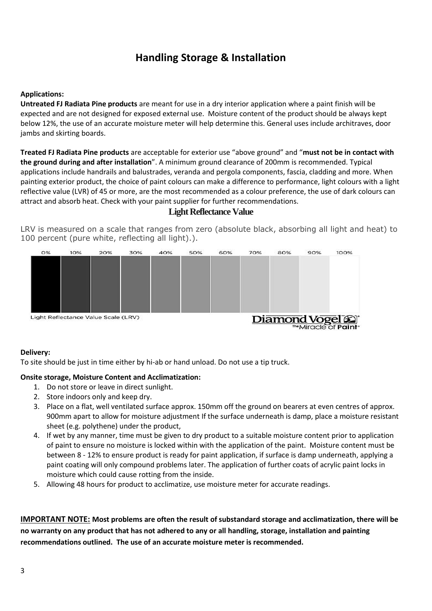### **Handling Storage & Installation**

#### **Applications:**

**Untreated FJ Radiata Pine products** are meant for use in a dry interior application where a paint finish will be expected and are not designed for exposed external use. Moisture content of the product should be always kept below 12%, the use of an accurate moisture meter will help determine this. General uses include architraves, door jambs and skirting boards.

**Treated FJ Radiata Pine products** are acceptable for exterior use "above ground" and "**must not be in contact with the ground during and after installation**". A minimum ground clearance of 200mm is recommended. Typical applications include handrails and balustrades, veranda and pergola components, fascia, cladding and more. When painting exterior product, the choice of paint colours can make a difference to performance, light colours with a light reflective value (LVR) of 45 or more, are the most recommended as a colour preference, the use of dark colours can attract and absorb heat. Check with your paint supplier for further recommendations.

#### **Light Reflectance Value**

LRV is measured on a scale that ranges from zero (absolute black, absorbing all light and heat) to 100 percent (pure white, reflecting all light).).



#### **Delivery:**

To site should be just in time either by hi-ab or hand unload. Do not use a tip truck.

#### **Onsite storage, Moisture Content and Acclimatization:**

- 1. Do not store or leave in direct sunlight.
- 2. Store indoors only and keep dry.
- 3. Place on a flat, well ventilated surface approx. 150mm off the ground on bearers at even centres of approx. 900mm apart to allow for moisture adjustment If the surface underneath is damp, place a moisture resistant sheet (e.g. polythene) under the product,
- 4. If wet by any manner, time must be given to dry product to a suitable moisture content prior to application of paint to ensure no moisture is locked within with the application of the paint. Moisture content must be between 8 - 12% to ensure product is ready for paint application, if surface is damp underneath, applying a paint coating will only compound problems later. The application of further coats of acrylic paint locks in moisture which could cause rotting from the inside.
- 5. Allowing 48 hours for product to acclimatize, use moisture meter for accurate readings.

**IMPORTANT NOTE: Most problems are often the result of substandard storage and acclimatization, there will be no warranty on any product that has not adhered to any or all handling, storage, installation and painting recommendations outlined. The use of an accurate moisture meter is recommended.**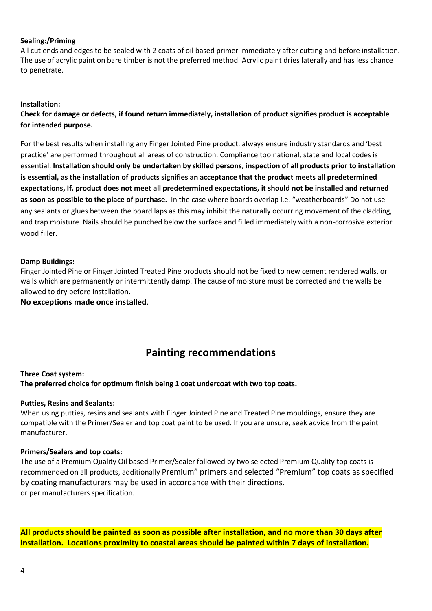#### **Sealing:/Priming**

All cut ends and edges to be sealed with 2 coats of oil based primer immediately after cutting and before installation. The use of acrylic paint on bare timber is not the preferred method. Acrylic paint dries laterally and has less chance to penetrate.

#### **Installation:**

**Check for damage or defects, if found return immediately, installation of product signifies product is acceptable for intended purpose.** 

For the best results when installing any Finger Jointed Pine product, always ensure industry standards and 'best practice' are performed throughout all areas of construction. Compliance too national, state and local codes is essential. **Installation should only be undertaken by skilled persons, inspection of all products prior to installation is essential, as the installation of products signifies an acceptance that the product meets all predetermined expectations, If, product does not meet all predetermined expectations, it should not be installed and returned as soon as possible to the place of purchase.** In the case where boards overlap i.e. "weatherboards" Do not use any sealants or glues between the board laps as this may inhibit the naturally occurring movement of the cladding, and trap moisture. Nails should be punched below the surface and filled immediately with a non-corrosive exterior wood filler.

#### **Damp Buildings:**

Finger Jointed Pine or Finger Jointed Treated Pine products should not be fixed to new cement rendered walls, or walls which are permanently or intermittently damp. The cause of moisture must be corrected and the walls be allowed to dry before installation.

**No exceptions made once installed**.

### **Painting recommendations**

#### **Three Coat system:**

**The preferred choice for optimum finish being 1 coat undercoat with two top coats.**

#### **Putties, Resins and Sealants:**

When using putties, resins and sealants with Finger Jointed Pine and Treated Pine mouldings, ensure they are compatible with the Primer/Sealer and top coat paint to be used. If you are unsure, seek advice from the paint manufacturer.

#### **Primers/Sealers and top coats:**

The use of a Premium Quality Oil based Primer/Sealer followed by two selected Premium Quality top coats is recommended on all products, additionally Premium" primers and selected "Premium" top coats as specified by coating manufacturers may be used in accordance with their directions. or per manufacturers specification.

**All products should be painted as soon as possible after installation, and no more than 30 days after installation. Locations proximity to coastal areas should be painted within 7 days of installation.**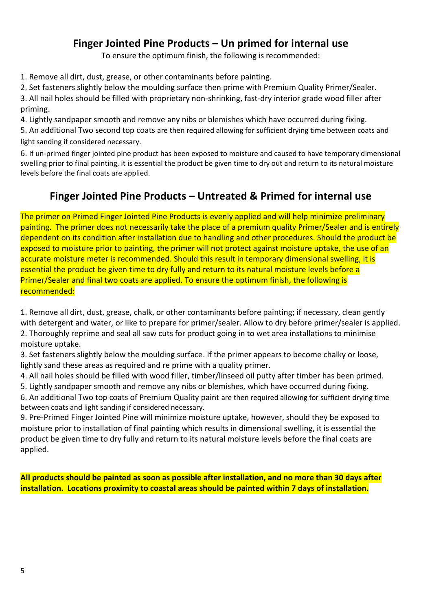### **Finger Jointed Pine Products – Un primed for internal use**

To ensure the optimum finish, the following is recommended:

1. Remove all dirt, dust, grease, or other contaminants before painting.

2. Set fasteners slightly below the moulding surface then prime with Premium Quality Primer/Sealer.

3. All nail holes should be filled with proprietary non-shrinking, fast-dry interior grade wood filler after priming.

4. Lightly sandpaper smooth and remove any nibs or blemishes which have occurred during fixing.

5. An additional Two second top coats are then required allowing for sufficient drying time between coats and light sanding if considered necessary.

6. If un-primed finger jointed pine product has been exposed to moisture and caused to have temporary dimensional swelling prior to final painting, it is essential the product be given time to dry out and return to its natural moisture levels before the final coats are applied.

### **Finger Jointed Pine Products – Untreated & Primed for internal use**

The primer on Primed Finger Jointed Pine Products is evenly applied and will help minimize preliminary painting. The primer does not necessarily take the place of a premium quality Primer/Sealer and is entirely dependent on its condition after installation due to handling and other procedures. Should the product be exposed to moisture prior to painting, the primer will not protect against moisture uptake, the use of an accurate moisture meter is recommended. Should this result in temporary dimensional swelling, it is essential the product be given time to dry fully and return to its natural moisture levels before a Primer/Sealer and final two coats are applied. To ensure the optimum finish, the following is recommended:

1. Remove all dirt, dust, grease, chalk, or other contaminants before painting; if necessary, clean gently with detergent and water, or like to prepare for primer/sealer. Allow to dry before primer/sealer is applied. 2. Thoroughly reprime and seal all saw cuts for product going in to wet area installations to minimise moisture uptake.

3. Set fasteners slightly below the moulding surface. If the primer appears to become chalky or loose, lightly sand these areas as required and re prime with a quality primer.

4. All nail holes should be filled with wood filler, timber/linseed oil putty after timber has been primed.

5. Lightly sandpaper smooth and remove any nibs or blemishes, which have occurred during fixing.

6. An additional Two top coats of Premium Quality paint are then required allowing for sufficient drying time between coats and light sanding if considered necessary.

9. Pre-Primed Finger Jointed Pine will minimize moisture uptake, however, should they be exposed to moisture prior to installation of final painting which results in dimensional swelling, it is essential the product be given time to dry fully and return to its natural moisture levels before the final coats are applied.

**All products should be painted as soon as possible after installation, and no more than 30 days after installation. Locations proximity to coastal areas should be painted within 7 days of installation.**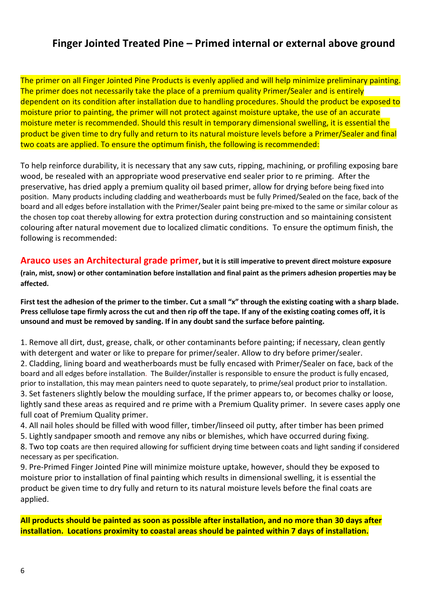### **Finger Jointed Treated Pine – Primed internal or external above ground**

The primer on all Finger Jointed Pine Products is evenly applied and will help minimize preliminary painting. The primer does not necessarily take the place of a premium quality Primer/Sealer and is entirely dependent on its condition after installation due to handling procedures. Should the product be exposed to moisture prior to painting, the primer will not protect against moisture uptake, the use of an accurate moisture meter is recommended. Should this result in temporary dimensional swelling, it is essential the product be given time to dry fully and return to its natural moisture levels before a Primer/Sealer and final two coats are applied. To ensure the optimum finish, the following is recommended:

To help reinforce durability, it is necessary that any saw cuts, ripping, machining, or profiling exposing bare wood, be resealed with an appropriate wood preservative end sealer prior to re priming. After the preservative, has dried apply a premium quality oil based primer, allow for drying before being fixed into position. Many products including cladding and weatherboards must be fully Primed/Sealed on the face, back of the board and all edges before installation with the Primer/Sealer paint being pre-mixed to the same or similar colour as the chosen top coat thereby allowing for extra protection during construction and so maintaining consistent colouring after natural movement due to localized climatic conditions. To ensure the optimum finish, the following is recommended:

**Arauco uses an Architectural grade primer, but it is still imperative to prevent direct moisture exposure (rain, mist, snow) or other contamination before installation and final paint as the primers adhesion properties may be affected.** 

**First test the adhesion of the primer to the timber. Cut a small "x" through the existing coating with a sharp blade. Press cellulose tape firmly across the cut and then rip off the tape. If any of the existing coating comes off, it is unsound and must be removed by sanding. If in any doubt sand the surface before painting.**

1. Remove all dirt, dust, grease, chalk, or other contaminants before painting; if necessary, clean gently with detergent and water or like to prepare for primer/sealer. Allow to dry before primer/sealer. 2. Cladding, lining board and weatherboards must be fully encased with Primer/Sealer on face, back of the board and all edges before installation. The Builder/installer is responsible to ensure the product is fully encased, prior to installation, this may mean painters need to quote separately, to prime/seal product prior to installation. 3. Set fasteners slightly below the moulding surface, If the primer appears to, or becomes chalky or loose, lightly sand these areas as required and re prime with a Premium Quality primer. In severe cases apply one full coat of Premium Quality primer.

4. All nail holes should be filled with wood filler, timber/linseed oil putty, after timber has been primed 5. Lightly sandpaper smooth and remove any nibs or blemishes, which have occurred during fixing.

8. Two top coats are then required allowing for sufficient drying time between coats and light sanding if considered necessary as per specification.

9. Pre-Primed Finger Jointed Pine will minimize moisture uptake, however, should they be exposed to moisture prior to installation of final painting which results in dimensional swelling, it is essential the product be given time to dry fully and return to its natural moisture levels before the final coats are applied.

**All products should be painted as soon as possible after installation, and no more than 30 days after installation. Locations proximity to coastal areas should be painted within 7 days of installation.**